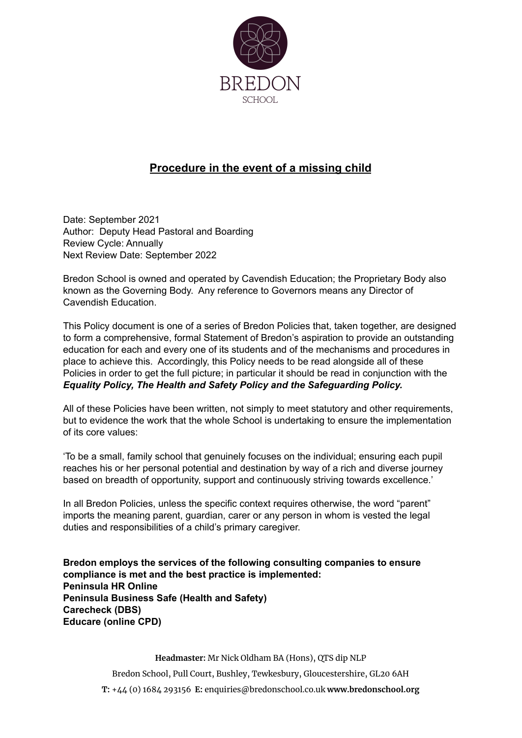

# **Procedure in the event of a missing child**

Date: September 2021 Author: Deputy Head Pastoral and Boarding Review Cycle: Annually Next Review Date: September 2022

Bredon School is owned and operated by Cavendish Education; the Proprietary Body also known as the Governing Body. Any reference to Governors means any Director of Cavendish Education.

This Policy document is one of a series of Bredon Policies that, taken together, are designed to form a comprehensive, formal Statement of Bredon's aspiration to provide an outstanding education for each and every one of its students and of the mechanisms and procedures in place to achieve this. Accordingly, this Policy needs to be read alongside all of these Policies in order to get the full picture; in particular it should be read in conjunction with the *Equality Policy, The Health and Safety Policy and the Safeguarding Policy.*

All of these Policies have been written, not simply to meet statutory and other requirements, but to evidence the work that the whole School is undertaking to ensure the implementation of its core values:

'To be a small, family school that genuinely focuses on the individual; ensuring each pupil reaches his or her personal potential and destination by way of a rich and diverse journey based on breadth of opportunity, support and continuously striving towards excellence.'

In all Bredon Policies, unless the specific context requires otherwise, the word "parent" imports the meaning parent, guardian, carer or any person in whom is vested the legal duties and responsibilities of a child's primary caregiver.

**Bredon employs the services of the following consulting companies to ensure compliance is met and the best practice is implemented: Peninsula HR Online Peninsula Business Safe (Health and Safety) Carecheck (DBS) Educare (online CPD)**

> **Headmaster:** Mr Nick Oldham BA (Hons), QTS dip NLP Bredon School, Pull Court, Bushley, Tewkesbury, Gloucestershire, GL20 6AH **T:** +44 (0) 1684 293156 **E:** enquiries@bredonschool.co.uk **www.bredonschool.org**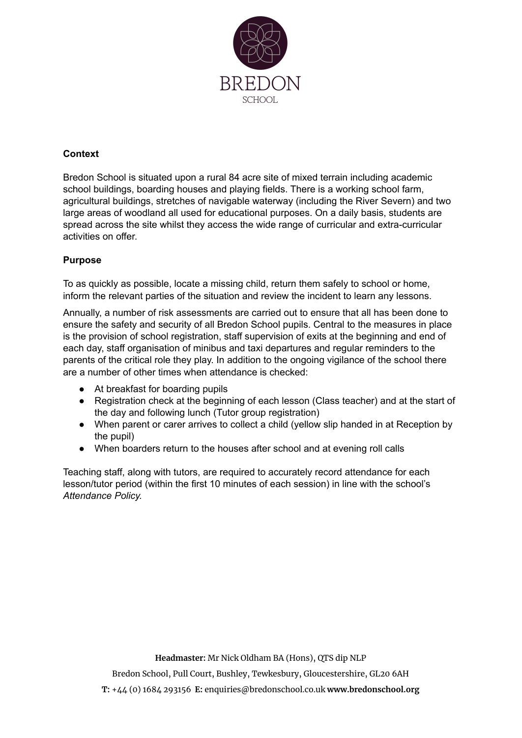

## **Context**

Bredon School is situated upon a rural 84 acre site of mixed terrain including academic school buildings, boarding houses and playing fields. There is a working school farm, agricultural buildings, stretches of navigable waterway (including the River Severn) and two large areas of woodland all used for educational purposes. On a daily basis, students are spread across the site whilst they access the wide range of curricular and extra-curricular activities on offer.

## **Purpose**

To as quickly as possible, locate a missing child, return them safely to school or home, inform the relevant parties of the situation and review the incident to learn any lessons.

Annually, a number of risk assessments are carried out to ensure that all has been done to ensure the safety and security of all Bredon School pupils. Central to the measures in place is the provision of school registration, staff supervision of exits at the beginning and end of each day, staff organisation of minibus and taxi departures and regular reminders to the parents of the critical role they play. In addition to the ongoing vigilance of the school there are a number of other times when attendance is checked:

- At breakfast for boarding pupils
- Registration check at the beginning of each lesson (Class teacher) and at the start of the day and following lunch (Tutor group registration)
- When parent or carer arrives to collect a child (yellow slip handed in at Reception by the pupil)
- When boarders return to the houses after school and at evening roll calls

Teaching staff, along with tutors, are required to accurately record attendance for each lesson/tutor period (within the first 10 minutes of each session) in line with the school's *Attendance Policy.*

**Headmaster:** Mr Nick Oldham BA (Hons), QTS dip NLP

Bredon School, Pull Court, Bushley, Tewkesbury, Gloucestershire, GL20 6AH

**T:** +44 (0) 1684 293156 **E:** enquiries@bredonschool.co.uk **www.bredonschool.org**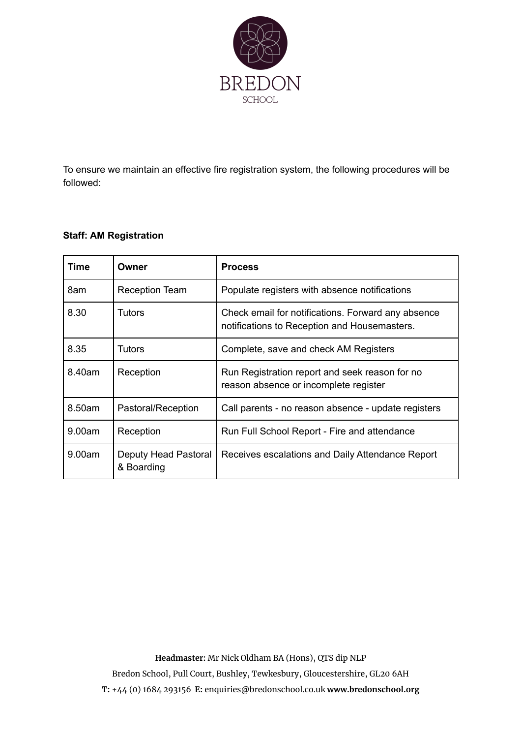

To ensure we maintain an effective fire registration system, the following procedures will be followed:

### **Staff: AM Registration**

| Time   | Owner                              | <b>Process</b>                                                                                     |
|--------|------------------------------------|----------------------------------------------------------------------------------------------------|
| 8am    | <b>Reception Team</b>              | Populate registers with absence notifications                                                      |
| 8.30   | Tutors                             | Check email for notifications. Forward any absence<br>notifications to Reception and Housemasters. |
| 8.35   | Tutors                             | Complete, save and check AM Registers                                                              |
| 8.40am | Reception                          | Run Registration report and seek reason for no<br>reason absence or incomplete register            |
| 8.50am | Pastoral/Reception                 | Call parents - no reason absence - update registers                                                |
| 9.00am | Reception                          | Run Full School Report - Fire and attendance                                                       |
| 9.00am | Deputy Head Pastoral<br>& Boarding | Receives escalations and Daily Attendance Report                                                   |

**Headmaster:** Mr Nick Oldham BA (Hons), QTS dip NLP

Bredon School, Pull Court, Bushley, Tewkesbury, Gloucestershire, GL20 6AH

**T:** +44 (0) 1684 293156 **E:** enquiries@bredonschool.co.uk **www.bredonschool.org**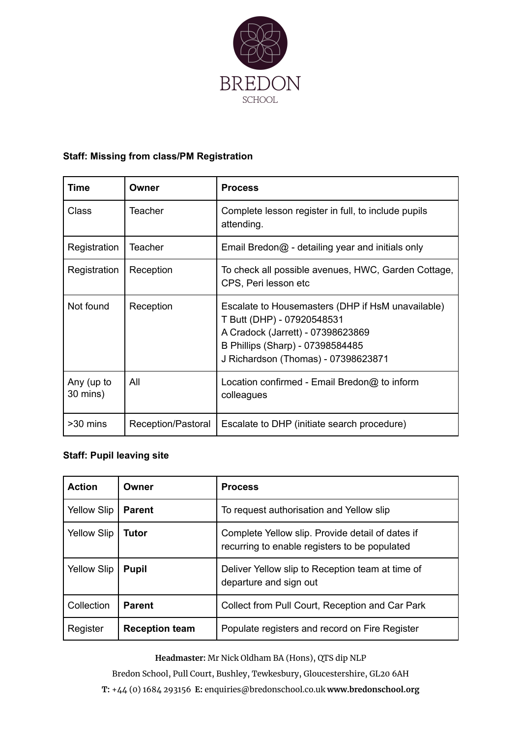

# **Staff: Missing from class/PM Registration**

| Time                   | Owner              | <b>Process</b>                                                                                                                                                                                  |
|------------------------|--------------------|-------------------------------------------------------------------------------------------------------------------------------------------------------------------------------------------------|
| Class                  | <b>Teacher</b>     | Complete lesson register in full, to include pupils<br>attending.                                                                                                                               |
| Registration           | Teacher            | Email Bredon@ - detailing year and initials only                                                                                                                                                |
| Registration           | Reception          | To check all possible avenues, HWC, Garden Cottage,<br>CPS, Peri lesson etc                                                                                                                     |
| Not found              | Reception          | Escalate to Housemasters (DHP if HsM unavailable)<br>T Butt (DHP) - 07920548531<br>A Cradock (Jarrett) - 07398623869<br>B Phillips (Sharp) - 07398584485<br>J Richardson (Thomas) - 07398623871 |
| Any (up to<br>30 mins) | All                | Location confirmed - Email Bredon@ to inform<br>colleagues                                                                                                                                      |
| >30 mins               | Reception/Pastoral | Escalate to DHP (initiate search procedure)                                                                                                                                                     |

# **Staff: Pupil leaving site**

| <b>Action</b>      | Owner                 | <b>Process</b>                                                                                    |
|--------------------|-----------------------|---------------------------------------------------------------------------------------------------|
| <b>Yellow Slip</b> | <b>Parent</b>         | To request authorisation and Yellow slip                                                          |
| <b>Yellow Slip</b> | Tutor                 | Complete Yellow slip. Provide detail of dates if<br>recurring to enable registers to be populated |
| <b>Yellow Slip</b> | <b>Pupil</b>          | Deliver Yellow slip to Reception team at time of<br>departure and sign out                        |
| Collection         | <b>Parent</b>         | Collect from Pull Court, Reception and Car Park                                                   |
| Register           | <b>Reception team</b> | Populate registers and record on Fire Register                                                    |

**Headmaster:** Mr Nick Oldham BA (Hons), QTS dip NLP

Bredon School, Pull Court, Bushley, Tewkesbury, Gloucestershire, GL20 6AH **T:** +44 (0) 1684 293156 **E:** enquiries@bredonschool.co.uk **www.bredonschool.org**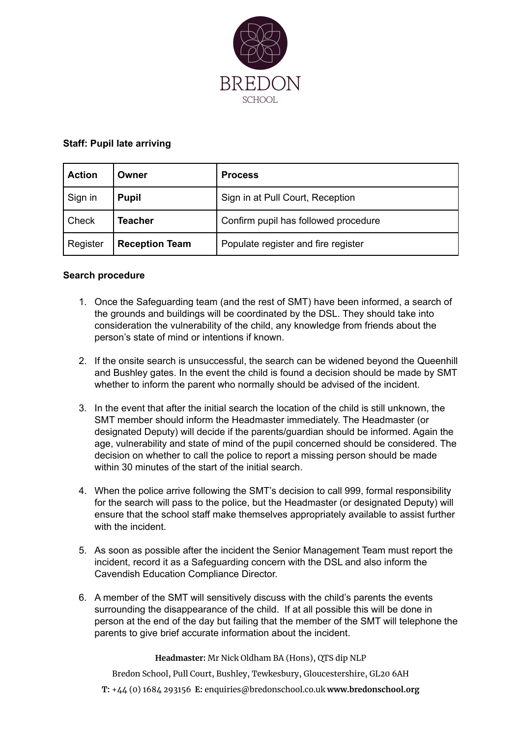

#### **Staff: Pupil late arriving**

| <b>Action</b> | Owner                 | <b>Process</b>                       |
|---------------|-----------------------|--------------------------------------|
| Sign in       | <b>Pupil</b>          | Sign in at Pull Court, Reception     |
| Check         | Teacher               | Confirm pupil has followed procedure |
| Register      | <b>Reception Team</b> | Populate register and fire register  |

#### **Search procedure**

- 1. Once the Safeguarding team (and the rest of SMT) have been informed, a search of the grounds and buildings will be coordinated by the DSL. They should take into consideration the vulnerability of the child, any knowledge from friends about the person's state of mind or intentions if known.
- 2. If the onsite search is unsuccessful, the search can be widened beyond the Queenhill and Bushley gates. In the event the child is found a decision should be made by SMT whether to inform the parent who normally should be advised of the incident.
- 3. In the event that after the initial search the location of the child is still unknown, the SMT member should inform the Headmaster immediately. The Headmaster (or designated Deputy) will decide if the parents/guardian should be informed. Again the age, vulnerability and state of mind of the pupil concerned should be considered. The decision on whether to call the police to report a missing person should be made within 30 minutes of the start of the initial search.
- 4. When the police arrive following the SMT's decision to call 999, formal responsibility for the search will pass to the police, but the Headmaster (or designated Deputy) will ensure that the school staff make themselves appropriately available to assist further with the incident
- 5. As soon as possible after the incident the Senior Management Team must report the incident, record it as a Safeguarding concern with the DSL and also inform the Cavendish Education Compliance Director.
- 6. A member of the SMT will sensitively discuss with the child's parents the events surrounding the disappearance of the child. If at all possible this will be done in person at the end of the day but failing that the member of the SMT will telephone the parents to give brief accurate information about the incident.

#### **Headmaster:** Mr Nick Oldham BA (Hons), QTS dip NLP

Bredon School, Pull Court, Bushley, Tewkesbury, Gloucestershire, GL20 6AH

**T:** +44 (0) 1684 293156 **E:** enquiries@bredonschool.co.uk **www.bredonschool.org**